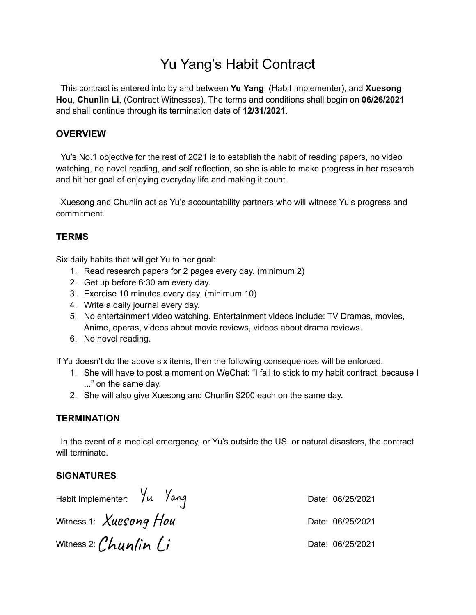# Yu Yang's Habit Contract

This contract is entered into by and between **Yu Yang**, (Habit Implementer), and **Xuesong Hou**, **Chunlin Li**, (Contract Witnesses). The terms and conditions shall begin on **06/26/2021** and shall continue through its termination date of **12/31/2021**.

# **OVERVIEW**

Yu's No.1 objective for the rest of 2021 is to establish the habit of reading papers, no video watching, no novel reading, and self reflection, so she is able to make progress in her research and hit her goal of enjoying everyday life and making it count.

Xuesong and Chunlin act as Yu's accountability partners who will witness Yu's progress and commitment.

# **TERMS**

Six daily habits that will get Yu to her goal:

- 1. Read research papers for 2 pages every day. (minimum 2)
- 2. Get up before 6:30 am every day.
- 3. Exercise 10 minutes every day. (minimum 10)
- 4. Write a daily journal every day.
- 5. No entertainment video watching. Entertainment videos include: TV Dramas, movies, Anime, operas, videos about movie reviews, videos about drama reviews.
- 6. No novel reading.

If Yu doesn't do the above six items, then the following consequences will be enforced.

- 1. She will have to post a moment on WeChat: "I fail to stick to my habit contract, because I ..." on the same day.
- 2. She will also give Xuesong and Chunlin \$200 each on the same day.

### **TERMINATION**

In the event of a medical emergency, or Yu's outside the US, or natural disasters, the contract will terminate.

### **SIGNATURES**

| Habit Implementer: Yu Yang |  |  |  |  |
|----------------------------|--|--|--|--|
| Witness 1: Xuesong Hou     |  |  |  |  |
| Witness 2: Chunlin $Li$    |  |  |  |  |

Date: 06/25/2021 Date: 06/25/2021 Date: 06/25/2021